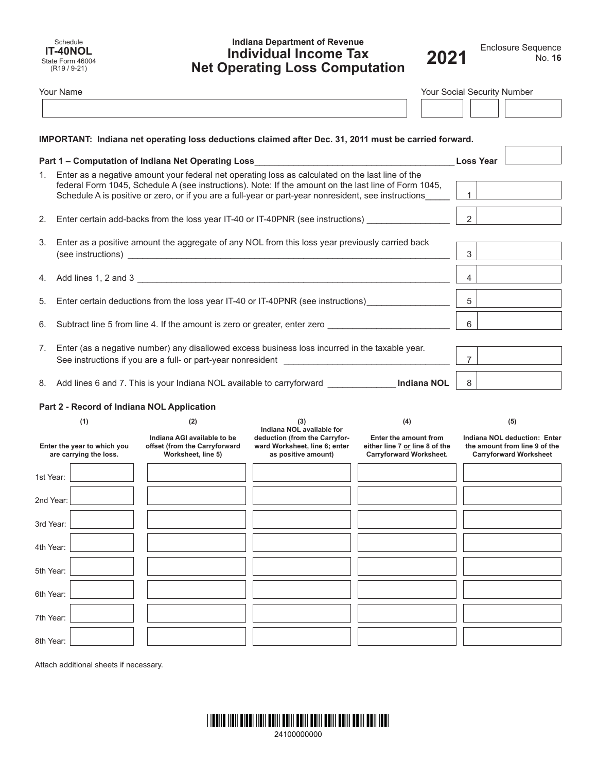Schedule **IT-40NOL** State Form 46004 (R19 / 9-21)

# **Indiana Department of Revenue Individual Income Tax Net Operating Loss Computation**



|                                                       | <b>Your Name</b>                                                                                                                                                                                                                                                                                                    | Your Social Security Number                                                                           |                                                                                       |                                                                                           |                                                                                                |  |
|-------------------------------------------------------|---------------------------------------------------------------------------------------------------------------------------------------------------------------------------------------------------------------------------------------------------------------------------------------------------------------------|-------------------------------------------------------------------------------------------------------|---------------------------------------------------------------------------------------|-------------------------------------------------------------------------------------------|------------------------------------------------------------------------------------------------|--|
|                                                       |                                                                                                                                                                                                                                                                                                                     |                                                                                                       |                                                                                       |                                                                                           |                                                                                                |  |
|                                                       |                                                                                                                                                                                                                                                                                                                     | IMPORTANT: Indiana net operating loss deductions claimed after Dec. 31, 2011 must be carried forward. |                                                                                       |                                                                                           |                                                                                                |  |
|                                                       | Part 1 - Computation of Indiana Net Operating Loss                                                                                                                                                                                                                                                                  | <b>Loss Year</b>                                                                                      |                                                                                       |                                                                                           |                                                                                                |  |
|                                                       | 1. Enter as a negative amount your federal net operating loss as calculated on the last line of the<br>federal Form 1045, Schedule A (see instructions). Note: If the amount on the last line of Form 1045,<br>Schedule A is positive or zero, or if you are a full-year or part-year nonresident, see instructions | $\overline{1}$                                                                                        |                                                                                       |                                                                                           |                                                                                                |  |
|                                                       | 2. Enter certain add-backs from the loss year IT-40 or IT-40PNR (see instructions)                                                                                                                                                                                                                                  | $2^{\circ}$                                                                                           |                                                                                       |                                                                                           |                                                                                                |  |
| 3.                                                    | Enter as a positive amount the aggregate of any NOL from this loss year previously carried back                                                                                                                                                                                                                     | 3                                                                                                     |                                                                                       |                                                                                           |                                                                                                |  |
| 4.                                                    |                                                                                                                                                                                                                                                                                                                     | 4                                                                                                     |                                                                                       |                                                                                           |                                                                                                |  |
| 5.                                                    | Enter certain deductions from the loss year IT-40 or IT-40PNR (see instructions)                                                                                                                                                                                                                                    | 5                                                                                                     |                                                                                       |                                                                                           |                                                                                                |  |
| 6.                                                    | Subtract line 5 from line 4. If the amount is zero or greater, enter zero _________________________                                                                                                                                                                                                                 | 6                                                                                                     |                                                                                       |                                                                                           |                                                                                                |  |
| 7.                                                    | Enter (as a negative number) any disallowed excess business loss incurred in the taxable year.<br>See instructions if you are a full- or part-year nonresident                                                                                                                                                      | $\overline{7}$                                                                                        |                                                                                       |                                                                                           |                                                                                                |  |
|                                                       | 8. Add lines 6 and 7. This is your Indiana NOL available to carryforward ______________ Indiana NOL                                                                                                                                                                                                                 | 8                                                                                                     |                                                                                       |                                                                                           |                                                                                                |  |
|                                                       |                                                                                                                                                                                                                                                                                                                     | Part 2 - Record of Indiana NOL Application                                                            |                                                                                       |                                                                                           |                                                                                                |  |
|                                                       | (1)<br>(2)<br>(3)<br>(4)<br>Indiana NOL available for                                                                                                                                                                                                                                                               |                                                                                                       |                                                                                       | (5)                                                                                       |                                                                                                |  |
| Enter the year to which you<br>are carrying the loss. |                                                                                                                                                                                                                                                                                                                     | Indiana AGI available to be<br>offset (from the Carryforward<br>Worksheet, line 5)                    | deduction (from the Carryfor-<br>ward Worksheet, line 6; enter<br>as positive amount) | Enter the amount from<br>either line 7 or line 8 of the<br><b>Carryforward Worksheet.</b> | Indiana NOL deduction: Enter<br>the amount from line 9 of the<br><b>Carryforward Worksheet</b> |  |
| 1st Year:                                             |                                                                                                                                                                                                                                                                                                                     |                                                                                                       |                                                                                       |                                                                                           |                                                                                                |  |
| 2nd Year:                                             |                                                                                                                                                                                                                                                                                                                     |                                                                                                       |                                                                                       |                                                                                           |                                                                                                |  |
| 3rd Year:                                             |                                                                                                                                                                                                                                                                                                                     |                                                                                                       |                                                                                       |                                                                                           |                                                                                                |  |
| 4th Year:                                             |                                                                                                                                                                                                                                                                                                                     |                                                                                                       |                                                                                       |                                                                                           |                                                                                                |  |
| 5th Year:                                             |                                                                                                                                                                                                                                                                                                                     |                                                                                                       |                                                                                       |                                                                                           |                                                                                                |  |
| 6th Year:                                             |                                                                                                                                                                                                                                                                                                                     |                                                                                                       |                                                                                       |                                                                                           |                                                                                                |  |
| 7th Year:                                             |                                                                                                                                                                                                                                                                                                                     |                                                                                                       |                                                                                       |                                                                                           |                                                                                                |  |
| 8th Year:                                             |                                                                                                                                                                                                                                                                                                                     |                                                                                                       |                                                                                       |                                                                                           |                                                                                                |  |

Attach additional sheets if necessary.

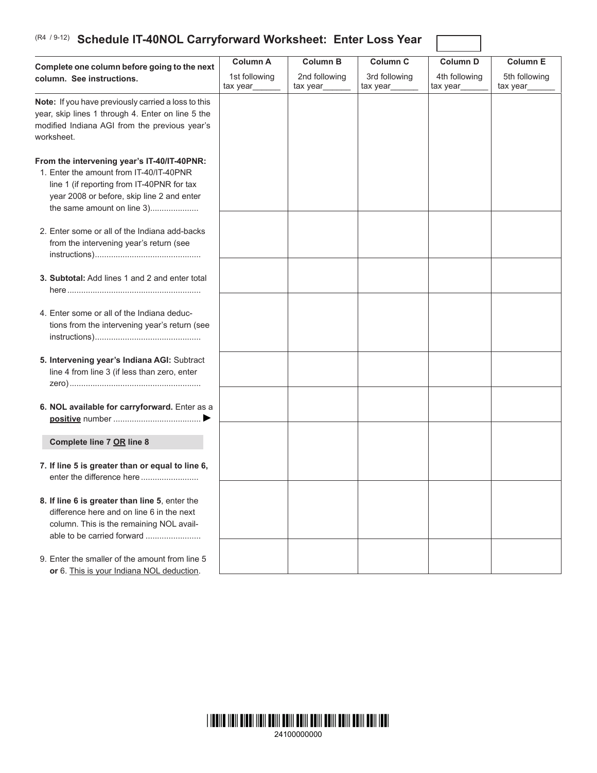# **Schedule IT-40NOL Carryforward Worksheet: Enter Loss Year** (R4 / 9-12)

| Complete one column before going to the next                                                                                                                                                                     | <b>Column A</b>           | <b>Column B</b>           | <b>Column C</b>           | <b>Column D</b>           | <b>Column E</b>           |
|------------------------------------------------------------------------------------------------------------------------------------------------------------------------------------------------------------------|---------------------------|---------------------------|---------------------------|---------------------------|---------------------------|
| column. See instructions.                                                                                                                                                                                        | 1st following<br>tax year | 2nd following<br>tax year | 3rd following<br>tax year | 4th following<br>tax year | 5th following<br>tax year |
| Note: If you have previously carried a loss to this<br>year, skip lines 1 through 4. Enter on line 5 the<br>modified Indiana AGI from the previous year's<br>worksheet.                                          |                           |                           |                           |                           |                           |
| From the intervening year's IT-40/IT-40PNR:<br>1. Enter the amount from IT-40/IT-40PNR<br>line 1 (if reporting from IT-40PNR for tax<br>year 2008 or before, skip line 2 and enter<br>the same amount on line 3) |                           |                           |                           |                           |                           |
| 2. Enter some or all of the Indiana add-backs<br>from the intervening year's return (see                                                                                                                         |                           |                           |                           |                           |                           |
| 3. Subtotal: Add lines 1 and 2 and enter total                                                                                                                                                                   |                           |                           |                           |                           |                           |
| 4. Enter some or all of the Indiana deduc-<br>tions from the intervening year's return (see                                                                                                                      |                           |                           |                           |                           |                           |
| 5. Intervening year's Indiana AGI: Subtract<br>line 4 from line 3 (if less than zero, enter                                                                                                                      |                           |                           |                           |                           |                           |
| 6. NOL available for carryforward. Enter as a                                                                                                                                                                    |                           |                           |                           |                           |                           |
| Complete line 7 OR line 8                                                                                                                                                                                        |                           |                           |                           |                           |                           |
| 7. If line 5 is greater than or equal to line 6,<br>enter the difference here                                                                                                                                    |                           |                           |                           |                           |                           |
| 8. If line 6 is greater than line 5, enter the<br>difference here and on line 6 in the next<br>column. This is the remaining NOL avail-<br>able to be carried forward                                            |                           |                           |                           |                           |                           |
| 9. Enter the smaller of the amount from line 5<br>or 6. This is your Indiana NOL deduction.                                                                                                                      |                           |                           |                           |                           |                           |

 $\overline{1}$ 

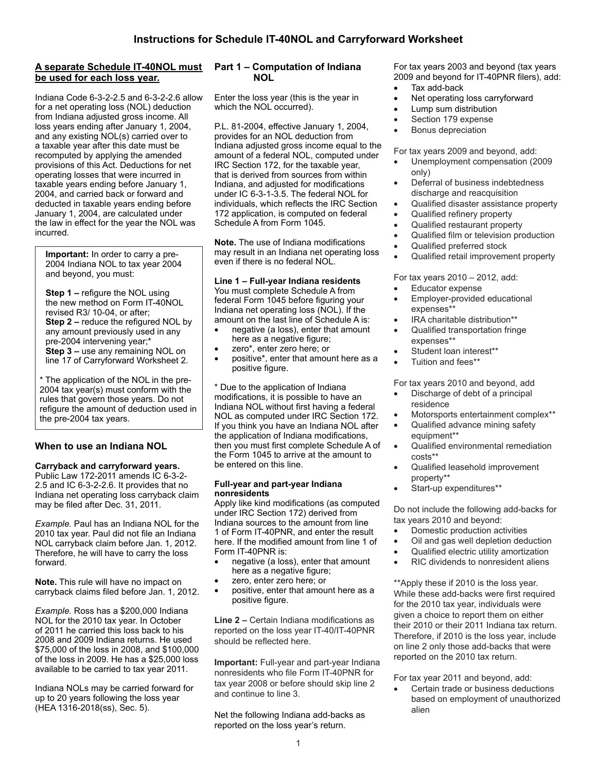## **A separate Schedule IT-40NOL must be used for each loss year.**

Indiana Code 6-3-2-2.5 and 6-3-2-2.6 allow for a net operating loss (NOL) deduction from Indiana adjusted gross income. All loss years ending after January 1, 2004, and any existing NOL(s) carried over to a taxable year after this date must be recomputed by applying the amended provisions of this Act. Deductions for net operating losses that were incurred in taxable years ending before January 1, 2004, and carried back or forward and deducted in taxable years ending before January 1, 2004, are calculated under the law in effect for the year the NOL was incurred.

**Important:** In order to carry a pre-2004 Indiana NOL to tax year 2004 and beyond, you must:

**Step 1 –** refigure the NOL using the new method on Form IT-40NOL revised R3/ 10-04, or after; **Step 2 –** reduce the refigured NOL by any amount previously used in any pre-2004 intervening year;\* **Step 3 –** use any remaining NOL on line 17 of Carryforward Worksheet 2.

\* The application of the NOL in the pre-2004 tax year(s) must conform with the rules that govern those years. Do not refigure the amount of deduction used in the pre-2004 tax years.

# **When to use an Indiana NOL**

#### **Carryback and carryforward years.** Public Law 172-2011 amends IC 6-3-2- 2.5 and IC 6-3-2-2.6. It provides that no Indiana net operating loss carryback claim may be filed after Dec. 31, 2011.

*Example.* Paul has an Indiana NOL for the 2010 tax year. Paul did not file an Indiana NOL carryback claim before Jan. 1, 2012. Therefore, he will have to carry the loss forward.

**Note.** This rule will have no impact on carryback claims filed before Jan. 1, 2012.

*Example.* Ross has a \$200,000 Indiana NOL for the 2010 tax year. In October of 2011 he carried this loss back to his 2008 and 2009 Indiana returns. He used \$75,000 of the loss in 2008, and \$100,000 of the loss in 2009. He has a \$25,000 loss available to be carried to tax year 2011.

Indiana NOLs may be carried forward for up to 20 years following the loss year (HEA 1316-2018(ss), Sec. 5).

# **Part 1 – Computation of Indiana NOL**

Enter the loss year (this is the year in which the NOL occurred).

P.L. 81-2004, effective January 1, 2004, provides for an NOL deduction from Indiana adjusted gross income equal to the amount of a federal NOL, computed under IRC Section 172, for the taxable year, that is derived from sources from within Indiana, and adjusted for modifications under IC 6-3-1-3.5. The federal NOL for individuals, which reflects the IRC Section 172 application, is computed on federal Schedule A from Form 1045.

**Note.** The use of Indiana modifications may result in an Indiana net operating loss even if there is no federal NOL.

### **Line 1 – Full-year Indiana residents**

You must complete Schedule A from federal Form 1045 before figuring your Indiana net operating loss (NOL). If the amount on the last line of Schedule A is:

- hegative (a loss), enter that amount here as a negative figure;
- zero\*, enter zero here; or
- positive\*, enter that amount here as a positive figure.

\* Due to the application of Indiana modifications, it is possible to have an Indiana NOL without first having a federal NOL as computed under IRC Section 172. If you think you have an Indiana NOL after the application of Indiana modifications, then you must first complete Schedule A of the Form 1045 to arrive at the amount to be entered on this line.

#### **Full-year and part-year Indiana nonresidents**

Apply like kind modifications (as computed under IRC Section 172) derived from Indiana sources to the amount from line 1 of Form IT-40PNR, and enter the result here. If the modified amount from line 1 of Form IT-40PNR is:

- hegative (a loss), enter that amount here as a negative figure;
- zero, enter zero here; or
- positive, enter that amount here as a positive figure.

**Line 2 –** Certain Indiana modifications as reported on the loss year IT-40/IT-40PNR should be reflected here.

**Important:** Full-year and part-year Indiana nonresidents who file Form IT-40PNR for tax year 2008 or before should skip line 2 and continue to line 3.

Net the following Indiana add-backs as reported on the loss year's return.

For tax years 2003 and beyond (tax years 2009 and beyond for IT-40PNR filers), add:

- Tax add-back
- Net operating loss carryforward
- **Lump sum distribution**
- Section 179 expense
- **Bonus depreciation**

For tax years 2009 and beyond, add:

- Unemployment compensation (2009 only)
- Deferral of business indebtedness discharge and reacquisition
- • Qualified disaster assistance property
- Qualified refinery property
- Qualified restaurant property
- Qualified film or television production
- Qualified preferred stock
- Qualified retail improvement property

For tax years 2010 – 2012, add:

- **Educator expense**
- Employer-provided educational expenses\*\*
- IRA charitable distribution\*\*
- Qualified transportation fringe expenses\*\*
- Student loan interest\*\*
- Tuition and fees\*\*

For tax years 2010 and beyond, add

- Discharge of debt of a principal residence
- Motorsports entertainment complex\*\*
- Qualified advance mining safety equipment\*\*
- Qualified environmental remediation costs\*\*
- Qualified leasehold improvement property\*\*
- Start-up expenditures\*\*

Do not include the following add-backs for tax years 2010 and beyond:

- Domestic production activities
- Oil and gas well depletion deduction
- Qualified electric utility amortization
- RIC dividends to nonresident aliens

\*\*Apply these if 2010 is the loss year. While these add-backs were first required for the 2010 tax year, individuals were given a choice to report them on either their 2010 or their 2011 Indiana tax return. Therefore, if 2010 is the loss year, include on line 2 only those add-backs that were reported on the 2010 tax return.

For tax year 2011 and beyond, add:

Certain trade or business deductions based on employment of unauthorized alien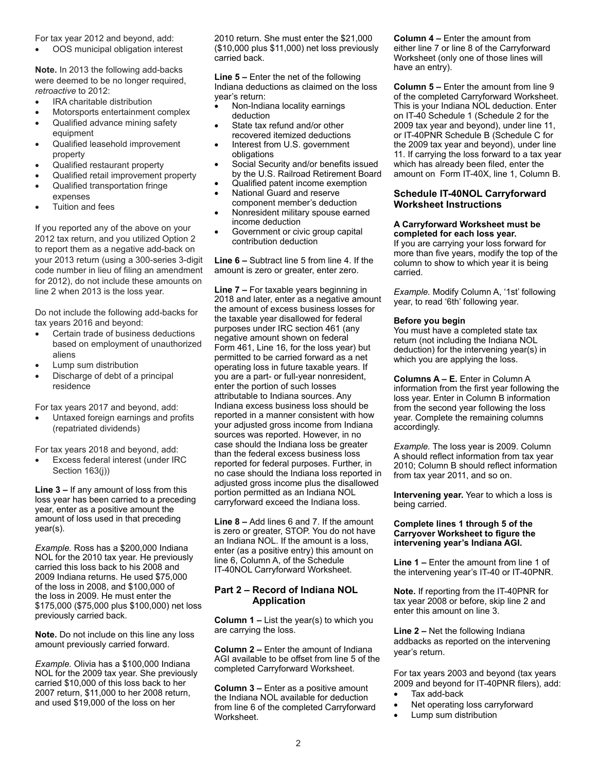For tax year 2012 and beyond, add:

OOS municipal obligation interest

**Note.** In 2013 the following add-backs were deemed to be no longer required, *retroactive* to 2012:

- IRA charitable distribution
- Motorsports entertainment complex
- Qualified advance mining safety equipment
- Qualified leasehold improvement property
- Qualified restaurant property
- Qualified retail improvement property Qualified transportation fringe
- expenses
- Tuition and fees

If you reported any of the above on your 2012 tax return, and you utilized Option 2 to report them as a negative add-back on your 2013 return (using a 300-series 3-digit code number in lieu of filing an amendment for 2012), do not include these amounts on line 2 when 2013 is the loss year.

Do not include the following add-backs for tax years 2016 and beyond:

- Certain trade of business deductions based on employment of unauthorized aliens
- Lump sum distribution
- Discharge of debt of a principal residence

For tax years 2017 and beyond, add:

Untaxed foreign earnings and profits (repatriated dividends)

For tax years 2018 and beyond, add:

Excess federal interest (under IRC Section 163(j))

**Line 3 –** If any amount of loss from this loss year has been carried to a preceding year, enter as a positive amount the amount of loss used in that preceding year(s).

*Example.* Ross has a \$200,000 Indiana NOL for the 2010 tax year. He previously carried this loss back to his 2008 and 2009 Indiana returns. He used \$75,000 of the loss in 2008, and \$100,000 of the loss in 2009. He must enter the \$175,000 (\$75,000 plus \$100,000) net loss previously carried back.

**Note.** Do not include on this line any loss amount previously carried forward.

*Example.* Olivia has a \$100,000 Indiana NOL for the 2009 tax year. She previously carried \$10,000 of this loss back to her 2007 return, \$11,000 to her 2008 return, and used \$19,000 of the loss on her

2010 return. She must enter the \$21,000 (\$10,000 plus \$11,000) net loss previously carried back.

**Line 5 –** Enter the net of the following Indiana deductions as claimed on the loss year's return:

- Non-Indiana locality earnings deduction
- State tax refund and/or other recovered itemized deductions
- Interest from U.S. government obligations
- • Social Security and/or benefits issued by the U.S. Railroad Retirement Board
- Qualified patent income exemption
- National Guard and reserve component member's deduction
- Nonresident military spouse earned income deduction
- Government or civic group capital contribution deduction

**Line 6 –** Subtract line 5 from line 4. If the amount is zero or greater, enter zero.

**Line 7 –** For taxable years beginning in 2018 and later, enter as a negative amount the amount of excess business losses for the taxable year disallowed for federal purposes under IRC section 461 (any negative amount shown on federal Form 461, Line 16, for the loss year) but permitted to be carried forward as a net operating loss in future taxable years. If you are a part- or full-year nonresident, enter the portion of such losses attributable to Indiana sources. Any Indiana excess business loss should be reported in a manner consistent with how your adjusted gross income from Indiana sources was reported. However, in no case should the Indiana loss be greater than the federal excess business loss reported for federal purposes. Further, in no case should the Indiana loss reported in adjusted gross income plus the disallowed portion permitted as an Indiana NOL carryforward exceed the Indiana loss.

**Line 8 –** Add lines 6 and 7. If the amount is zero or greater, STOP. You do not have an Indiana NOL. If the amount is a loss, enter (as a positive entry) this amount on line 6, Column A, of the Schedule IT-40NOL Carryforward Worksheet.

## **Part 2 – Record of Indiana NOL Application**

**Column 1 –** List the year(s) to which you are carrying the loss.

**Column 2 –** Enter the amount of Indiana AGI available to be offset from line 5 of the completed Carryforward Worksheet.

**Column 3 –** Enter as a positive amount the Indiana NOL available for deduction from line 6 of the completed Carryforward Worksheet.

**Column 4 –** Enter the amount from either line 7 or line 8 of the Carryforward Worksheet (only one of those lines will have an entry).

**Column 5 –** Enter the amount from line 9 of the completed Carryforward Worksheet. This is your Indiana NOL deduction. Enter on IT-40 Schedule 1 (Schedule 2 for the 2009 tax year and beyond), under line 11, or IT-40PNR Schedule B (Schedule C for the 2009 tax year and beyond), under line 11. If carrying the loss forward to a tax year which has already been filed, enter the amount on Form IT-40X, line 1, Column B.

## **Schedule IT-40NOL Carryforward Worksheet Instructions**

#### **A Carryforward Worksheet must be completed for each loss year.**

If you are carrying your loss forward for more than five years, modify the top of the column to show to which year it is being carried.

*Example.* Modify Column A, '1st' following year, to read '6th' following year.

#### **Before you begin**

You must have a completed state tax return (not including the Indiana NOL deduction) for the intervening year(s) in which you are applying the loss.

**Columns A – E.** Enter in Column A information from the first year following the loss year. Enter in Column B information from the second year following the loss year. Complete the remaining columns accordingly.

*Example.* The loss year is 2009. Column A should reflect information from tax year 2010; Column B should reflect information from tax year 2011, and so on.

**Intervening year.** Year to which a loss is being carried.

#### **Complete lines 1 through 5 of the Carryover Worksheet to figure the intervening year's Indiana AGI.**

**Line 1 –** Enter the amount from line 1 of the intervening year's IT-40 or IT-40PNR.

**Note.** If reporting from the IT-40PNR for tax year 2008 or before, skip line 2 and enter this amount on line 3.

**Line 2 –** Net the following Indiana addbacks as reported on the intervening year's return.

For tax years 2003 and beyond (tax years 2009 and beyond for IT-40PNR filers), add:

- Tax add-back
- Net operating loss carryforward
- Lump sum distribution